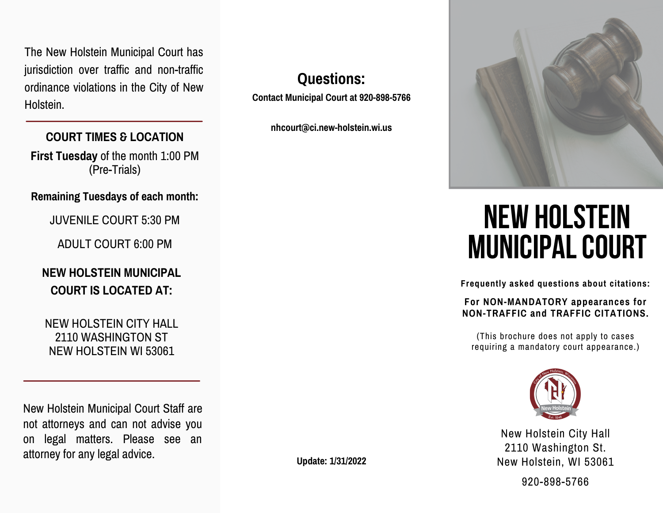The New Holstein Municipal Court has jurisdiction over traffic and non-traffic ordinance violations in the City of New Holstein.

# **COURT TIMES & LOCATION**

**First Tuesday** of the month 1:00 PM (Pre-Trials)

## **Remaining Tuesdays of each month:**

JUVENILE COURT 5:30 PM

ADULT COURT 6:00 PM

# **NEW HOLSTEIN MUNICIPAL COURT IS LOCATED AT:**

NEW HOLSTEIN CITY HALL 2110 WASHINGTON ST NEW HOLSTEIN WI 53061

New Holstein Municipal Court Staff are not attorneys and can not advise you on legal matters. Please see an attorney for any legal advice.

**Questions:**

**Contact Municipal Court at 920-898-5766**

**nhcourt@ci.new-holstein.wi.us**



# **NEW HOLSTEIN MUNICIPALCOURT**

**Frequently asked questions about citations:**

**For NON-MANDATORY appearances for NON-TRAFFIC and TRAFFIC CITATIONS.**

(This brochure does not apply to cases requiring a mandatory court appearance.)



New Holstein City Hall 2110 Washington St. New Holstein, WI 53061

920-898-5766

**Update: 1/31/2022**